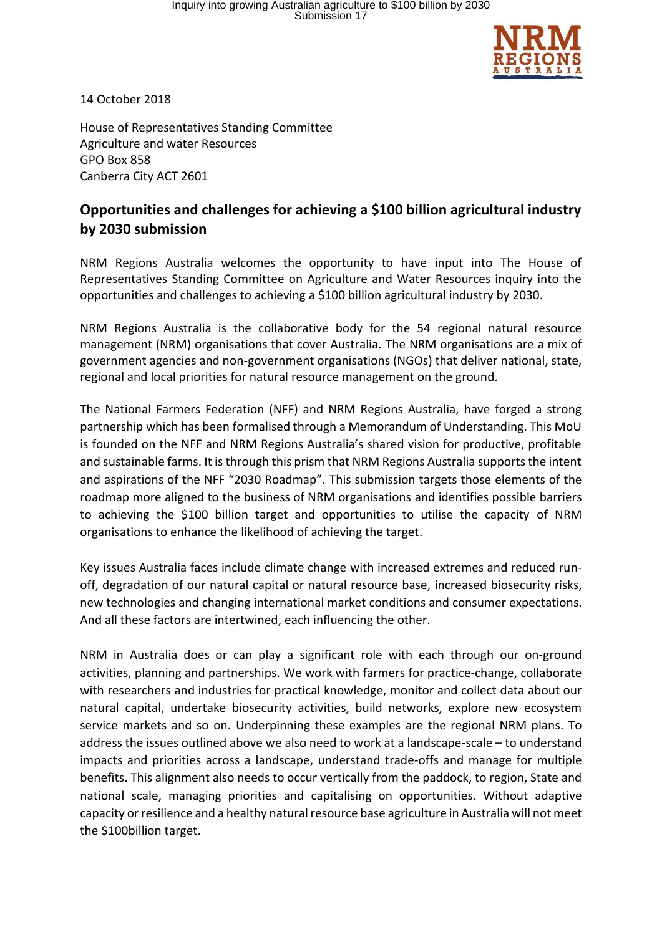

14 October 2018

House of Representatives Standing Committee Agriculture and water Resources GPO Box 858 Canberra City ACT 2601

# **Opportunities and challenges for achieving a \$100 billion agricultural industry by 2030 submission**

NRM Regions Australia welcomes the opportunity to have input into The House of Representatives Standing Committee on Agriculture and Water Resources inquiry into the opportunities and challenges to achieving a \$100 billion agricultural industry by 2030.

NRM Regions Australia is the collaborative body for the 54 regional natural resource management (NRM) organisations that cover Australia. The NRM organisations are a mix of government agencies and non-government organisations (NGOs) that deliver national, state, regional and local priorities for natural resource management on the ground.

The National Farmers Federation (NFF) and NRM Regions Australia, have forged a strong partnership which has been formalised through a Memorandum of Understanding. This MoU is founded on the NFF and NRM Regions Australia's shared vision for productive, profitable and sustainable farms. It is through this prism that NRM Regions Australia supports the intent and aspirations of the NFF "2030 Roadmap". This submission targets those elements of the roadmap more aligned to the business of NRM organisations and identifies possible barriers to achieving the \$100 billion target and opportunities to utilise the capacity of NRM organisations to enhance the likelihood of achieving the target.

Key issues Australia faces include climate change with increased extremes and reduced runoff, degradation of our natural capital or natural resource base, increased biosecurity risks, new technologies and changing international market conditions and consumer expectations. And all these factors are intertwined, each influencing the other.

NRM in Australia does or can play a significant role with each through our on-ground activities, planning and partnerships. We work with farmers for practice-change, collaborate with researchers and industries for practical knowledge, monitor and collect data about our natural capital, undertake biosecurity activities, build networks, explore new ecosystem service markets and so on. Underpinning these examples are the regional NRM plans. To address the issues outlined above we also need to work at a landscape-scale – to understand impacts and priorities across a landscape, understand trade-offs and manage for multiple benefits. This alignment also needs to occur vertically from the paddock, to region, State and national scale, managing priorities and capitalising on opportunities. Without adaptive capacity or resilience and a healthy natural resource base agriculture in Australia will not meet the \$100billion target.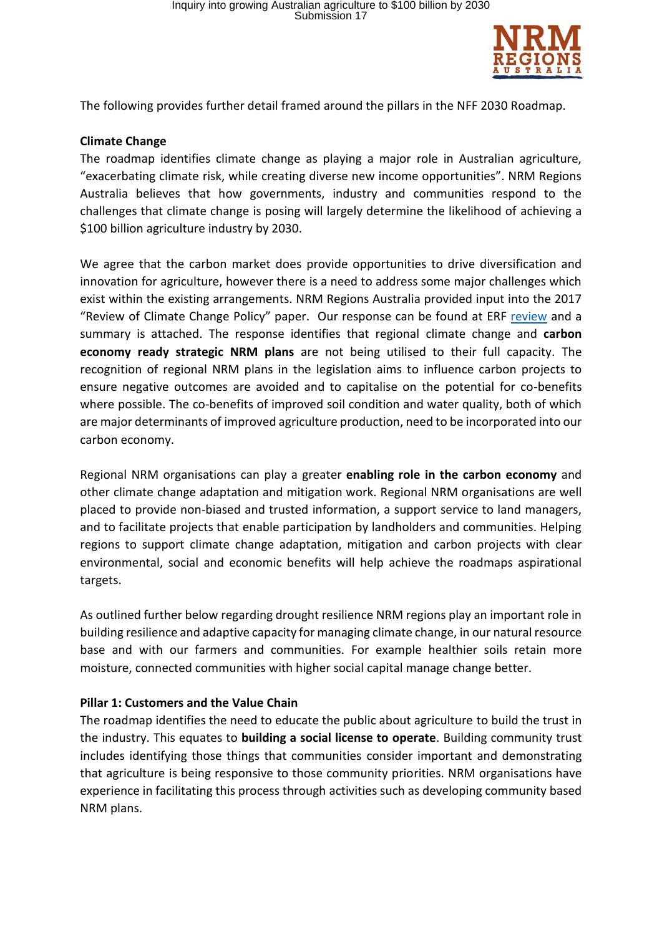

The following provides further detail framed around the pillars in the NFF 2030 Roadmap.

#### **Climate Change**

The roadmap identifies climate change as playing a major role in Australian agriculture, "exacerbating climate risk, while creating diverse new income opportunities". NRM Regions Australia believes that how governments, industry and communities respond to the challenges that climate change is posing will largely determine the likelihood of achieving a \$100 billion agriculture industry by 2030.

We agree that the carbon market does provide opportunities to drive diversification and innovation for agriculture, however there is a need to address some major challenges which exist within the existing arrangements. NRM Regions Australia provided input into the 2017 "Review of Climate Change Policy" paper. Our response can be found at ERF [review](http://nrmregionsaustralia.com.au/wp-content/uploads/2018/12/NRM-Regions-Australia-ERF-review-response-Final.pdf) and a summary is attached. The response identifies that regional climate change and **carbon economy ready strategic NRM plans** are not being utilised to their full capacity. The recognition of regional NRM plans in the legislation aims to influence carbon projects to ensure negative outcomes are avoided and to capitalise on the potential for co-benefits where possible. The co-benefits of improved soil condition and water quality, both of which are major determinants of improved agriculture production, need to be incorporated into our carbon economy.

Regional NRM organisations can play a greater **enabling role in the carbon economy** and other climate change adaptation and mitigation work. Regional NRM organisations are well placed to provide non-biased and trusted information, a support service to land managers, and to facilitate projects that enable participation by landholders and communities. Helping regions to support climate change adaptation, mitigation and carbon projects with clear environmental, social and economic benefits will help achieve the roadmaps aspirational targets.

As outlined further below regarding drought resilience NRM regions play an important role in building resilience and adaptive capacity for managing climate change, in our natural resource base and with our farmers and communities. For example healthier soils retain more moisture, connected communities with higher social capital manage change better.

### **Pillar 1: Customers and the Value Chain**

The roadmap identifies the need to educate the public about agriculture to build the trust in the industry. This equates to **building a social license to operate**. Building community trust includes identifying those things that communities consider important and demonstrating that agriculture is being responsive to those community priorities. NRM organisations have experience in facilitating this process through activities such as developing community based NRM plans.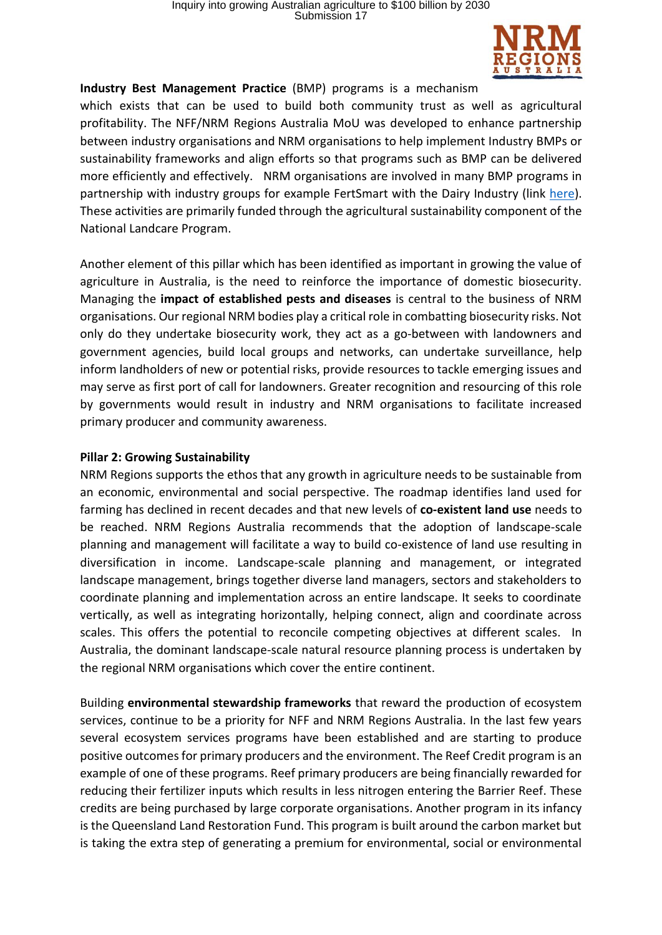# Inquiry into growing Australian agriculture to \$100 billion by 2030 Submission 17



## **Industry Best Management Practice** (BMP) programs is a mechanism

which exists that can be used to build both community trust as well as agricultural profitability. The NFF/NRM Regions Australia MoU was developed to enhance partnership between industry organisations and NRM organisations to help implement Industry BMPs or sustainability frameworks and align efforts so that programs such as BMP can be delivered more efficiently and effectively. NRM organisations are involved in many BMP programs in partnership with industry groups for example FertSmart with the Dairy Industry (link [here\)](https://nrmregionsaustralia.com.au/improved-dairy-industry-productivity/). These activities are primarily funded through the agricultural sustainability component of the National Landcare Program.

Another element of this pillar which has been identified as important in growing the value of agriculture in Australia, is the need to reinforce the importance of domestic biosecurity. Managing the **impact of established pests and diseases** is central to the business of NRM organisations. Our regional NRM bodies play a critical role in combatting biosecurity risks. Not only do they undertake biosecurity work, they act as a go-between with landowners and government agencies, build local groups and networks, can undertake surveillance, help inform landholders of new or potential risks, provide resources to tackle emerging issues and may serve as first port of call for landowners. Greater recognition and resourcing of this role by governments would result in industry and NRM organisations to facilitate increased primary producer and community awareness.

### **Pillar 2: Growing Sustainability**

NRM Regions supports the ethos that any growth in agriculture needs to be sustainable from an economic, environmental and social perspective. The roadmap identifies land used for farming has declined in recent decades and that new levels of **co-existent land use** needs to be reached. NRM Regions Australia recommends that the adoption of landscape-scale planning and management will facilitate a way to build co-existence of land use resulting in diversification in income. Landscape-scale planning and management, or integrated landscape management, brings together diverse land managers, sectors and stakeholders to coordinate planning and implementation across an entire landscape. It seeks to coordinate vertically, as well as integrating horizontally, helping connect, align and coordinate across scales. This offers the potential to reconcile competing objectives at different scales. In Australia, the dominant landscape-scale natural resource planning process is undertaken by the regional NRM organisations which cover the entire continent.

Building **environmental stewardship frameworks** that reward the production of ecosystem services, continue to be a priority for NFF and NRM Regions Australia. In the last few years several ecosystem services programs have been established and are starting to produce positive outcomes for primary producers and the environment. The Reef Credit program is an example of one of these programs. Reef primary producers are being financially rewarded for reducing their fertilizer inputs which results in less nitrogen entering the Barrier Reef. These credits are being purchased by large corporate organisations. Another program in its infancy is the Queensland Land Restoration Fund. This program is built around the carbon market but is taking the extra step of generating a premium for environmental, social or environmental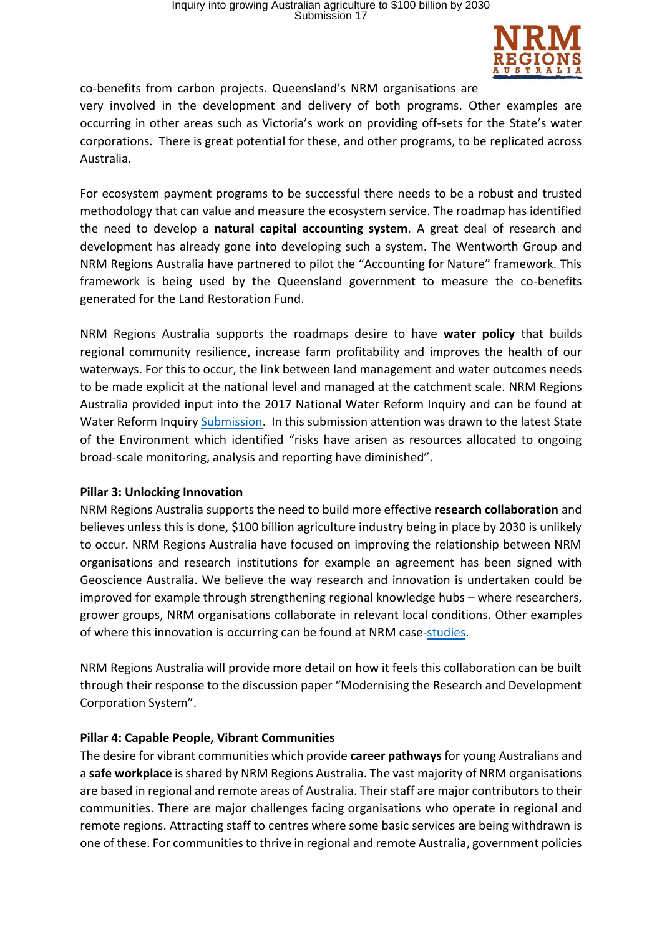

co-benefits from carbon projects. Queensland's NRM organisations are

very involved in the development and delivery of both programs. Other examples are occurring in other areas such as Victoria's work on providing off-sets for the State's water corporations. There is great potential for these, and other programs, to be replicated across Australia.

For ecosystem payment programs to be successful there needs to be a robust and trusted methodology that can value and measure the ecosystem service. The roadmap has identified the need to develop a **natural capital accounting system**. A great deal of research and development has already gone into developing such a system. The Wentworth Group and NRM Regions Australia have partnered to pilot the "Accounting for Nature" framework. This framework is being used by the Queensland government to measure the co-benefits generated for the Land Restoration Fund.

NRM Regions Australia supports the roadmaps desire to have **water policy** that builds regional community resilience, increase farm profitability and improves the health of our waterways. For this to occur, the link between land management and water outcomes needs to be made explicit at the national level and managed at the catchment scale. NRM Regions Australia provided input into the 2017 National Water Reform Inquiry and can be found at Water Reform Inquiry [Submission.](http://nrmregionsaustralia.com.au/wp-content/uploads/2018/12/National-Water-Reform-Inquiry-Submission-Final.pdf) In this submission attention was drawn to the latest State of the Environment which identified "risks have arisen as resources allocated to ongoing broad-scale monitoring, analysis and reporting have diminished".

#### **Pillar 3: Unlocking Innovation**

NRM Regions Australia supports the need to build more effective **research collaboration** and believes unless this is done, \$100 billion agriculture industry being in place by 2030 is unlikely to occur. NRM Regions Australia have focused on improving the relationship between NRM organisations and research institutions for example an agreement has been signed with Geoscience Australia. We believe the way research and innovation is undertaken could be improved for example through strengthening regional knowledge hubs – where researchers, grower groups, NRM organisations collaborate in relevant local conditions. Other examples of where this innovation is occurring can be found at NRM case[-studies.](http://nrmregionsaustralia.com.au/case-studies/)

NRM Regions Australia will provide more detail on how it feels this collaboration can be built through their response to the discussion paper "Modernising the Research and Development Corporation System".

### **Pillar 4: Capable People, Vibrant Communities**

The desire for vibrant communities which provide **career pathways** for young Australians and a **safe workplace** is shared by NRM Regions Australia. The vast majority of NRM organisations are based in regional and remote areas of Australia. Their staff are major contributors to their communities. There are major challenges facing organisations who operate in regional and remote regions. Attracting staff to centres where some basic services are being withdrawn is one of these. For communities to thrive in regional and remote Australia, government policies